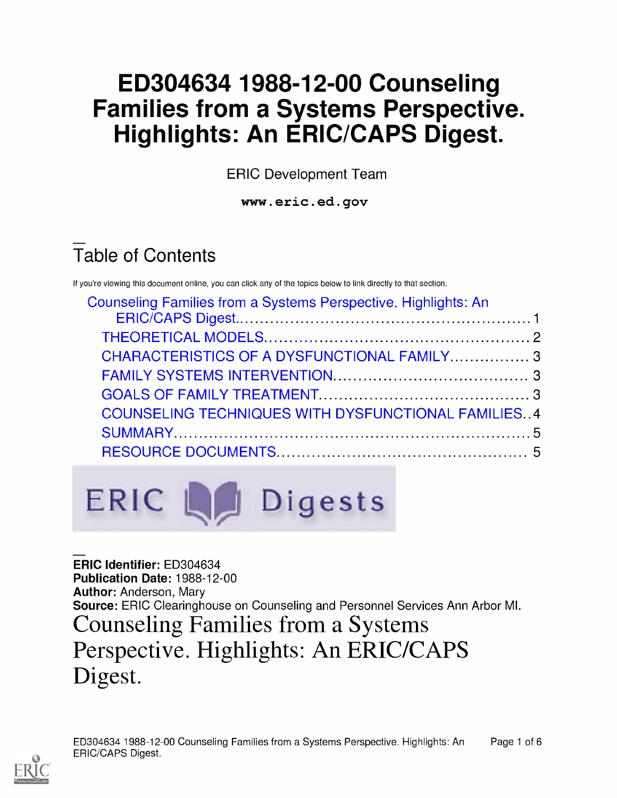## ED304634 1988-12-00 Counseling Families from a Systems Perspective. Highlights: An ERIC/CAPS Digest.

ERIC Development Team

www.eric.ed.gov

# Table of Contents

If you're viewing this document online, you can click any of the topics below to link directly to that section.

| Counseling Families from a Systems Perspective. Highlights: An |  |
|----------------------------------------------------------------|--|
|                                                                |  |
|                                                                |  |
| CHARACTERISTICS OF A DYSFUNCTIONAL FAMILY 3                    |  |
|                                                                |  |
|                                                                |  |
| <b>COUNSELING TECHNIQUES WITH DYSFUNCTIONAL FAMILIES 4</b>     |  |
|                                                                |  |
|                                                                |  |



ERIC Identifier: ED304634 Publication Date: 1988-12-00 Author: Anderson, Mary Source: ERIC Clearinghouse on Counseling and Personnel Services Ann Arbor MI. Counseling Families from a Systems Perspective. Highlights: An ERIC/CAPS Digest.

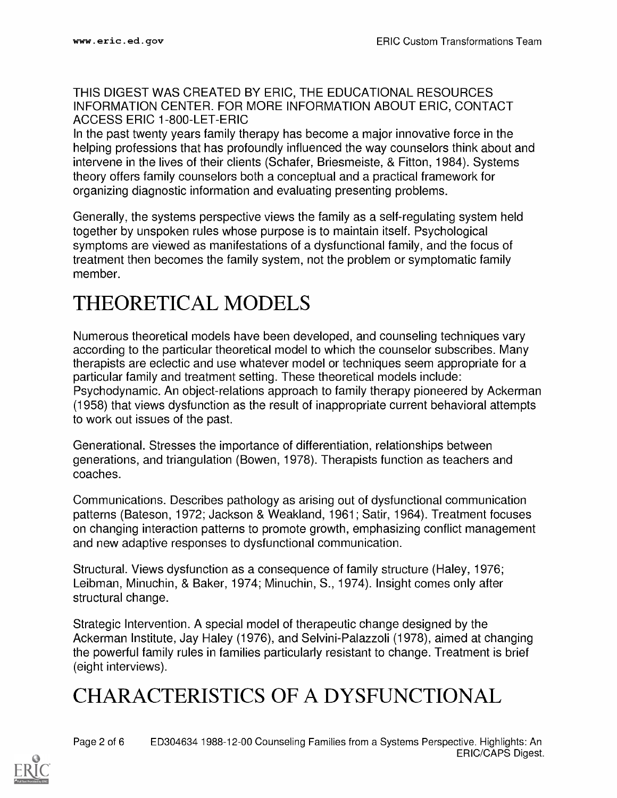#### THIS DIGEST WAS CREATED BY ERIC, THE EDUCATIONAL RESOURCES INFORMATION CENTER. FOR MORE INFORMATION ABOUT ERIC, CONTACT ACCESS ERIC 1-800-LET-ERIC

In the past twenty years family therapy has become a major innovative force in the helping professions that has profoundly influenced the way counselors think about and intervene in the lives of their clients (Schafer, Briesmeiste, & Fitton, 1984). Systems theory offers family counselors both a conceptual and a practical framework for organizing diagnostic information and evaluating presenting problems.

Generally, the systems perspective views the family as a self-regulating system held together by unspoken rules whose purpose is to maintain itself. Psychological symptoms are viewed as manifestations of a dysfunctional family, and the focus of treatment then becomes the family system, not the problem or symptomatic family member.

#### THEORETICAL MODELS

Numerous theoretical models have been developed, and counseling techniques vary according to the particular theoretical model to which the counselor subscribes. Many therapists are eclectic and use whatever model or techniques seem appropriate for a particular family and treatment setting. These theoretical models include: Psychodynamic. An object-relations approach to family therapy pioneered by Ackerman (1958) that views dysfunction as the result of inappropriate current behavioral attempts to work out issues of the past.

Generational. Stresses the importance of differentiation, relationships between generations, and triangulation (Bowen, 1978). Therapists function as teachers and coaches.

Communications. Describes pathology as arising out of dysfunctional communication patterns (Bateson, 1972; Jackson & Weakland, 1961; Satir, 1964). Treatment focuses on changing interaction patterns to promote growth, emphasizing conflict management and new adaptive responses to dysfunctional communication.

Structural. Views dysfunction as a consequence of family structure (Haley, 1976; Leibman, Minuchin, & Baker, 1974; Minuchin, S., 1974). Insight comes only after structural change.

Strategic Intervention. A special model of therapeutic change designed by the Ackerman Institute, Jay Haley (1976), and Selvini-Palazzoli (1978), aimed at changing the powerful family rules in families particularly resistant to change. Treatment is brief (eight interviews).

#### CHARACTERISTICS OF A DYSFUNCTIONAL

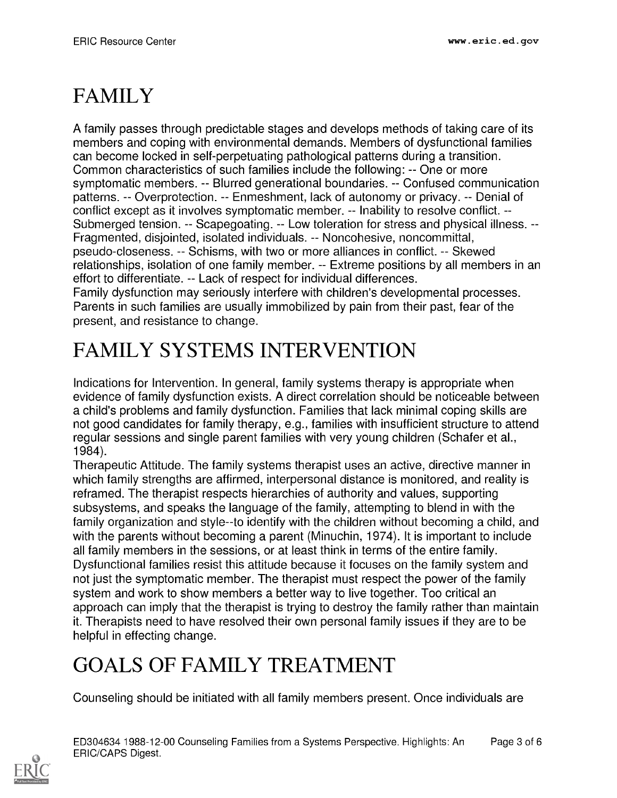## FAMILY

A family passes through predictable stages and develops methods of taking care of its members and coping with environmental demands. Members of dysfunctional families can become locked in self-perpetuating pathological patterns during a transition. Common characteristics of such families include the following: -- One or more symptomatic members. -- Blurred generational boundaries. -- Confused communication patterns. -- Overprotection. -- Enmeshment, lack of autonomy or privacy. -- Denial of conflict except as it involves symptomatic member. -- Inability to resolve conflict. --Submerged tension. -- Scapegoating. -- Low toleration for stress and physical illness. --Fragmented, disjointed, isolated individuals. -- Noncohesive, noncommittal, pseudo-closeness. -- Schisms, with two or more alliances in conflict. -- Skewed relationships, isolation of one family member. -- Extreme positions by all members in an effort to differentiate. -- Lack of respect for individual differences. Family dysfunction may seriously interfere with children's developmental processes.

Parents in such families are usually immobilized by pain from their past, fear of the present, and resistance to change.

#### FAMILY SYSTEMS INTERVENTION

Indications for Intervention. In general, family systems therapy is appropriate when evidence of family dysfunction exists. A direct correlation should be noticeable between a child's problems and family dysfunction. Families that lack minimal coping skills are not good candidates for family therapy, e.g., families with insufficient structure to attend regular sessions and single parent families with very young children (Schafer et al., 1984).

Therapeutic Attitude. The family systems therapist uses an active, directive manner in which family strengths are affirmed, interpersonal distance is monitored, and reality is reframed. The therapist respects hierarchies of authority and values, supporting subsystems, and speaks the language of the family, attempting to blend in with the family organization and style--to identify with the children without becoming a child, and with the parents without becoming a parent (Minuchin, 1974). It is important to include all family members in the sessions, or at least think in terms of the entire family. Dysfunctional families resist this attitude because it focuses on the family system and not just the symptomatic member. The therapist must respect the power of the family system and work to show members a better way to live together. Too critical an approach can imply that the therapist is trying to destroy the family rather than maintain it. Therapists need to have resolved their own personal family issues if they are to be helpful in effecting change.

#### GOALS OF FAMILY TREATMENT

Counseling should be initiated with all family members present. Once individuals are

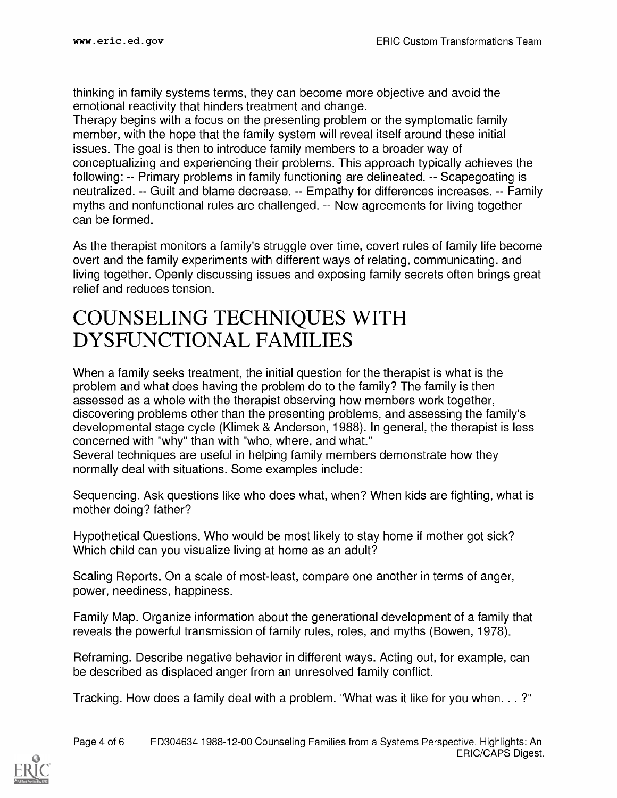thinking in family systems terms, they can become more objective and avoid the emotional reactivity that hinders treatment and change.

Therapy begins with a focus on the presenting problem or the symptomatic family member, with the hope that the family system will reveal itself around these initial issues. The goal is then to introduce family members to a broader way of conceptualizing and experiencing their problems. This approach typically achieves the following: -- Primary problems in family functioning are delineated. -- Scapegoating is neutralized. -- Guilt and blame decrease. -- Empathy for differences increases. -- Family myths and nonfunctional rules are challenged. -- New agreements for living together can be formed.

As the therapist monitors a family's struggle over time, covert rules of family life become overt and the family experiments with different ways of relating, communicating, and living together. Openly discussing issues and exposing family secrets often brings great relief and reduces tension.

#### COUNSELING TECHNIQUES WITH DYSFUNCTIONAL FAMILIES

When a family seeks treatment, the initial question for the therapist is what is the problem and what does having the problem do to the family? The family is then assessed as a whole with the therapist observing how members work together, discovering problems other than the presenting problems, and assessing the family's developmental stage cycle (Klimek & Anderson, 1988). In general, the therapist is less concerned with "why" than with "who, where, and what." Several techniques are useful in helping family members demonstrate how they normally deal with situations. Some examples include:

Sequencing. Ask questions like who does what, when? When kids are fighting, what is mother doing? father?

Hypothetical Questions. Who would be most likely to stay home if mother got sick? Which child can you visualize living at home as an adult?

Scaling Reports. On a scale of most-least, compare one another in terms of anger, power, neediness, happiness.

Family Map. Organize information about the generational development of a family that reveals the powerful transmission of family rules, roles, and myths (Bowen, 1978).

Reframing. Describe negative behavior in different ways. Acting out, for example, can be described as displaced anger from an unresolved family conflict.

Tracking. How does a family deal with a problem. "What was it like for you when. . . ?"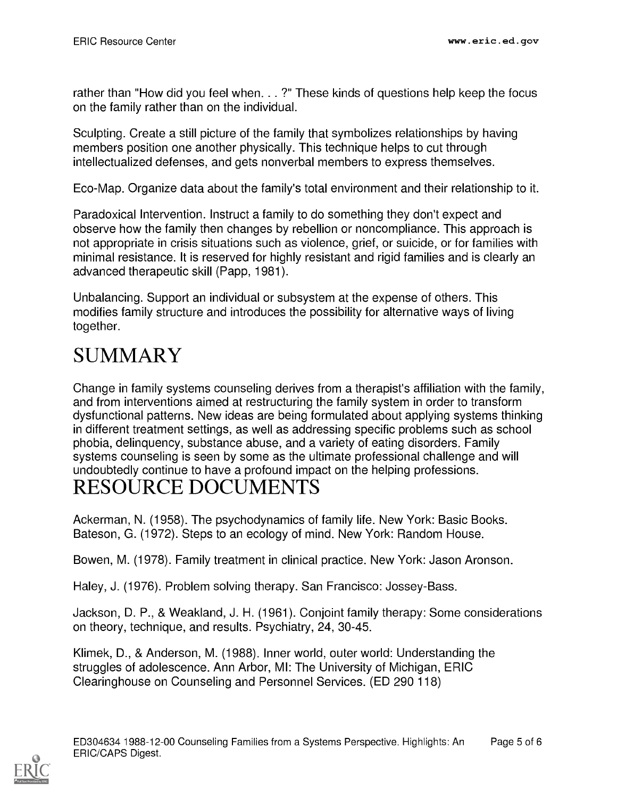rather than "How did you feel when. . . ?" These kinds of questions help keep the focus on the family rather than on the individual.

Sculpting. Create a still picture of the family that symbolizes relationships by having members position one another physically. This technique helps to cut through intellectualized defenses, and gets nonverbal members to express themselves.

Eco-Map. Organize data about the family's total environment and their relationship to it.

Paradoxical Intervention. Instruct a family to do something they don't expect and observe how the family then changes by rebellion or noncompliance. This approach is not appropriate in crisis situations such as violence, grief, or suicide, or for families with minimal resistance. It is reserved for highly resistant and rigid families and is clearly an advanced therapeutic skill (Papp, 1981).

Unbalancing. Support an individual or subsystem at the expense of others. This modifies family structure and introduces the possibility for alternative ways of living together.

#### SUMMARY

Change in family systems counseling derives from a therapist's affiliation with the family, and from interventions aimed at restructuring the family system in order to transform dysfunctional patterns. New ideas are being formulated about applying systems thinking in different treatment settings, as well as addressing specific problems such as school phobia, delinquency, substance abuse, and a variety of eating disorders. Family systems counseling is seen by some as the ultimate professional challenge and will undoubtedly continue to have a profound impact on the helping professions.

#### RESOURCE DOCUMENTS

Ackerman, N. (1958). The psychodynamics of family life. New York: Basic Books. Bateson, G. (1972). Steps to an ecology of mind. New York: Random House.

Bowen, M. (1978). Family treatment in clinical practice. New York: Jason Aronson.

Haley, J. (1976). Problem solving therapy. San Francisco: Jossey-Bass.

Jackson, D. P., & Weakland, J. H. (1961). Conjoint family therapy: Some considerations on theory, technique, and results. Psychiatry, 24, 30-45.

Klimek, D., & Anderson, M. (1988). Inner world, outer world: Understanding the struggles of adolescence. Ann Arbor, MI: The University of Michigan, ERIC Clearinghouse on Counseling and Personnel Services. (ED 290 118)